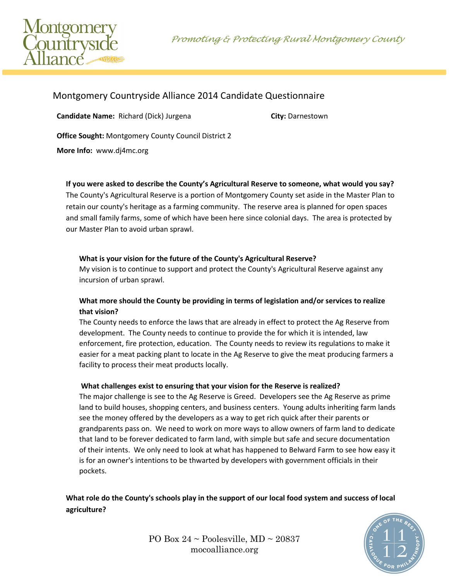



# Montgomery Countryside Alliance 2014 Candidate Questionnaire

**Candidate Name:** Richard (Dick) Jurgena **City:** Darnestown

**Office Sought:** Montgomery County Council District 2

**More Info:** www.dj4mc.org

**If you were asked to describe the County's Agricultural Reserve to someone, what would you say?**

The County's Agricultural Reserve is a portion of Montgomery County set aside in the Master Plan to retain our county's heritage as a farming community. The reserve area is planned for open spaces and small family farms, some of which have been here since colonial days. The area is protected by our Master Plan to avoid urban sprawl.

### **What is your vision for the future of the County's Agricultural Reserve?**

My vision is to continue to support and protect the County's Agricultural Reserve against any incursion of urban sprawl.

### **What more should the County be providing in terms of legislation and/or services to realize that vision?**

The County needs to enforce the laws that are already in effect to protect the Ag Reserve from development. The County needs to continue to provide the for which it is intended, law enforcement, fire protection, education. The County needs to review its regulations to make it easier for a meat packing plant to locate in the Ag Reserve to give the meat producing farmers a facility to process their meat products locally.

### **What challenges exist to ensuring that your vision for the Reserve is realized?**

The major challenge is see to the Ag Reserve is Greed. Developers see the Ag Reserve as prime land to build houses, shopping centers, and business centers. Young adults inheriting farm lands see the money offered by the developers as a way to get rich quick after their parents or grandparents pass on. We need to work on more ways to allow owners of farm land to dedicate that land to be forever dedicated to farm land, with simple but safe and secure documentation of their intents. We only need to look at what has happened to Belward Farm to see how easy it is for an owner's intentions to be thwarted by developers with government officials in their pockets.

**What role do the County's schools play in the support of our local food system and success of local agriculture?** 



PO Box  $24 \sim$  Poolesville, MD  $\sim$  20837 mocoalliance.org